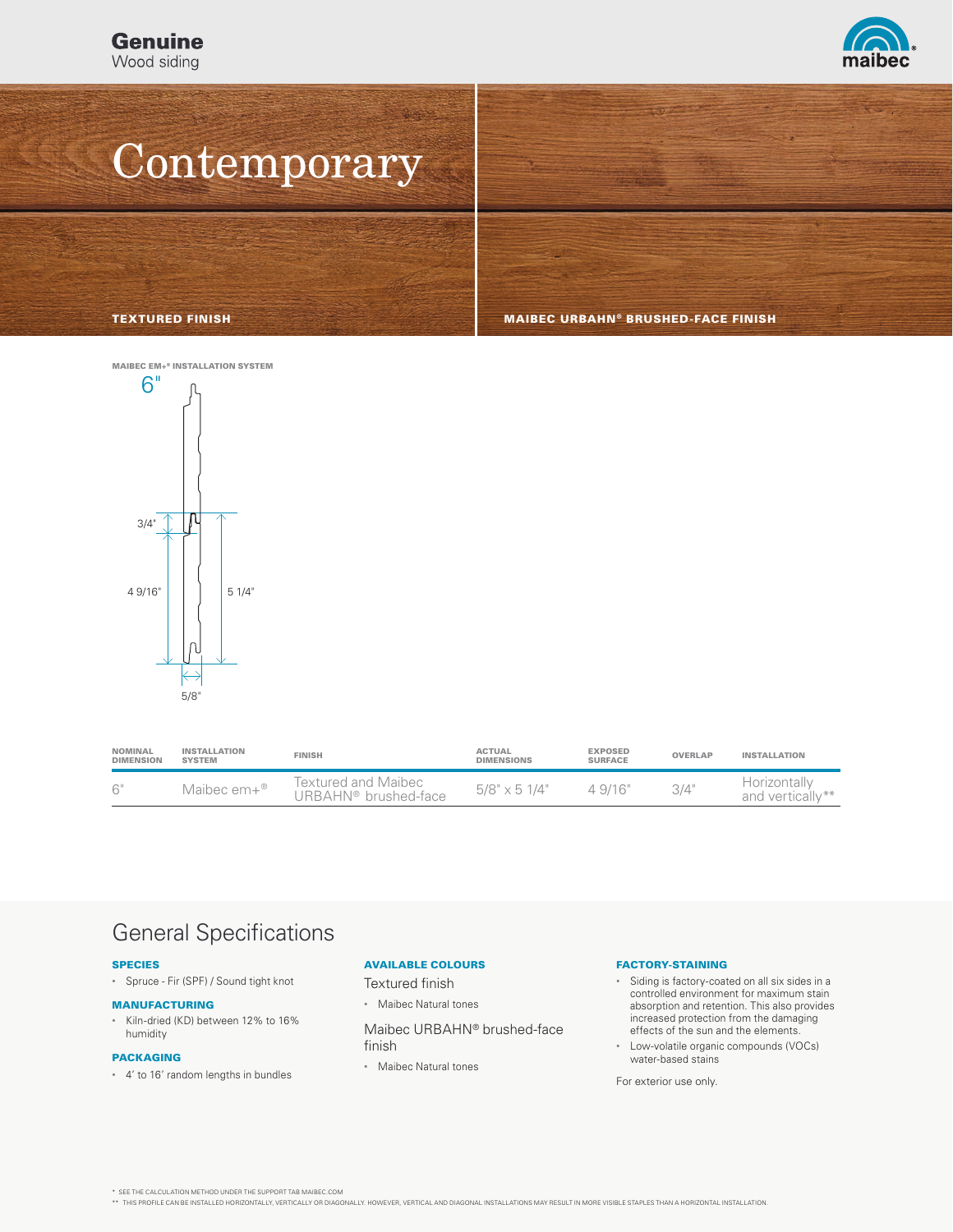

# **Contemporary**

TEXTURED FINISH MAIBEC URBAHN® BRUSHED-FACE FINISH



| <b>NOMINAL</b><br><b>DIMENSION</b> | <b>INSTALLATION</b><br><b>SYSTEM</b> | <b>FINISH</b>                               | <b>ACTUAL</b><br><b>DIMENSIONS</b> | <b>EXPOSED</b><br><b>SURFACE</b> | <b>OVERLAP</b> | <b>INSTALLATION</b>              |
|------------------------------------|--------------------------------------|---------------------------------------------|------------------------------------|----------------------------------|----------------|----------------------------------|
| 6"                                 | Maibec $em+^{\circledR}$             | Textured and Maibec<br>URBAHN® brushed-face | $5/8" \times 51/4"$                | 4.9/16"                          | 3/4"           | Horizontallv<br>and vertically** |

### General Specifications

#### SPECIES

• Spruce - Fir (SPF) / Sound tight knot

#### MANUFACTURING

• Kiln-dried (KD) between 12% to 16% humidity

#### PACKAGING

• 4' to 16' random lengths in bundles

### AVAILABLE COLOURS

Textured finish

• Maibec Natural tones

Maibec URBAHN® brushed-face finish

• Maibec Natural tones

### FACTORY-STAINING

- Siding is factory-coated on all six sides in a controlled environment for maximum stain absorption and retention. This also provides increased protection from the damaging effects of the sun and the elements.
- Low-volatile organic compounds (VOCs) water-based stains

For exterior use only.

\* SEE THE CALCULATION METHOD UNDER THE SUPPORT TAB MAIBEC.COM

\*\* THIS PROFILE CAN BE INSTALLED HORIZONTALLY, VERTICALLY OR DIAGONALLY. HOWEVER, VERTICAL AND DIAGONAL INSTALLATIONS MAY RESULT IN MORE VISIBLE STAPLES THAN A HORIZONTAL INSTALLATION.